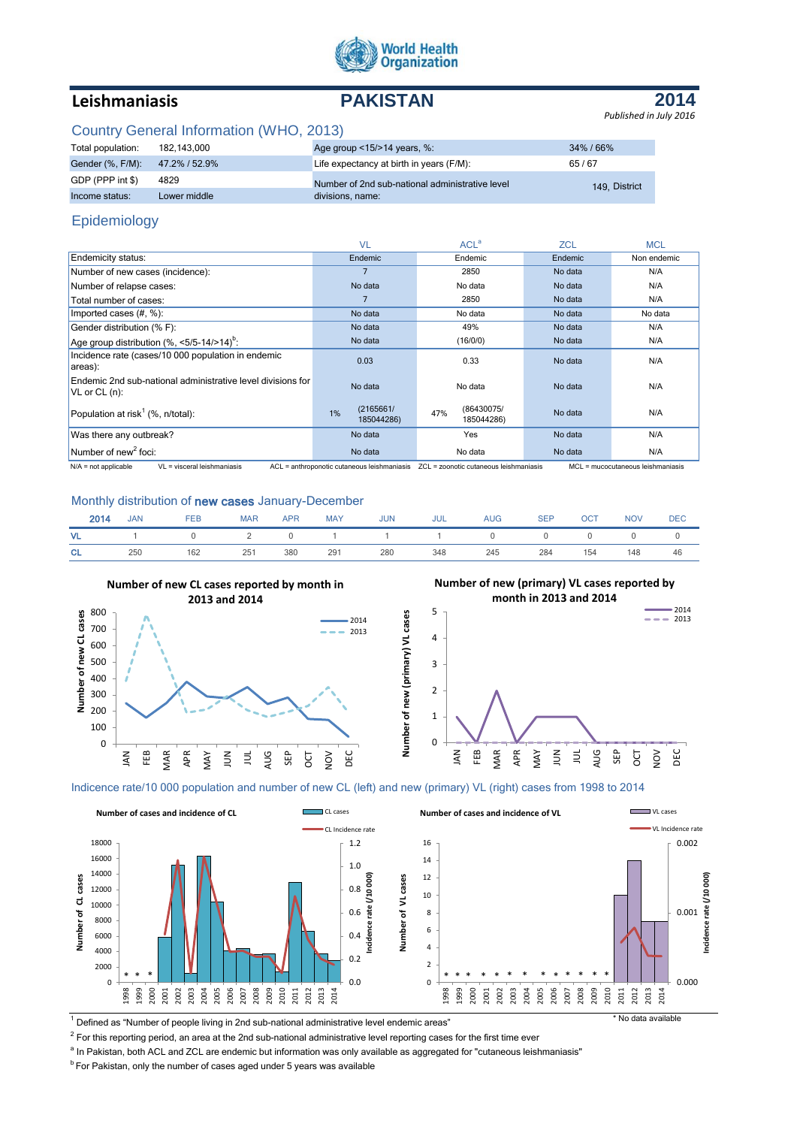

# **Leishmaniasis PAKISTAN**

**2014** *Published in July 2016*

# Country General Information (WHO, 2013)

| Total population:              | 182,143,000  | Age group $\leq$ 15/ $>$ 14 years, %:           | $34\%$ / 66%  |
|--------------------------------|--------------|-------------------------------------------------|---------------|
| Gender (%, F/M): 47.2% / 52.9% |              | Life expectancy at birth in years (F/M):        | 65/67         |
| GDP (PPP int \$)               | 4829         | Number of 2nd sub-national administrative level | 149. District |
| Income status:                 | Lower middle | divisions, name:                                |               |

# Epidemiology

|                                                                                                                                                                                                                                                                                          | <b>VL</b>                     | ACL <sup>a</sup>                                                                                                                                                                                                                             | <b>ZCL</b> | <b>MCL</b>                                                       |
|------------------------------------------------------------------------------------------------------------------------------------------------------------------------------------------------------------------------------------------------------------------------------------------|-------------------------------|----------------------------------------------------------------------------------------------------------------------------------------------------------------------------------------------------------------------------------------------|------------|------------------------------------------------------------------|
| Endemicity status:                                                                                                                                                                                                                                                                       | Endemic                       | Endemic                                                                                                                                                                                                                                      | Endemic    | Non endemic                                                      |
| Number of new cases (incidence):                                                                                                                                                                                                                                                         |                               | 2850                                                                                                                                                                                                                                         | No data    | N/A                                                              |
| Number of relapse cases:                                                                                                                                                                                                                                                                 | No data                       | No data                                                                                                                                                                                                                                      | No data    | N/A                                                              |
| Total number of cases:                                                                                                                                                                                                                                                                   |                               | 2850                                                                                                                                                                                                                                         | No data    | N/A                                                              |
| Imported cases $(\#,\%)$ :                                                                                                                                                                                                                                                               | No data                       | No data                                                                                                                                                                                                                                      | No data    | No data                                                          |
| Gender distribution (% F):                                                                                                                                                                                                                                                               | No data                       | 49%                                                                                                                                                                                                                                          | No data    | N/A                                                              |
| Age group distribution $(\%$ , <5/5-14/>14) <sup>b</sup> :                                                                                                                                                                                                                               | No data                       | (16/0/0)                                                                                                                                                                                                                                     | No data    | N/A                                                              |
| Incidence rate (cases/10 000 population in endemic<br>areas):                                                                                                                                                                                                                            | 0.03                          | 0.33                                                                                                                                                                                                                                         | No data    | N/A                                                              |
| Endemic 2nd sub-national administrative level divisions for<br>$V$ L or CL $(n)$ :                                                                                                                                                                                                       | No data                       | No data                                                                                                                                                                                                                                      | No data    | N/A                                                              |
| Population at risk <sup>1</sup> (%, $n$ /total):                                                                                                                                                                                                                                         | (2165661/<br>1%<br>185044286) | (86430075/<br>47%<br>185044286)                                                                                                                                                                                                              | No data    | N/A                                                              |
| Was there any outbreak?                                                                                                                                                                                                                                                                  | No data                       | Yes                                                                                                                                                                                                                                          | No data    | N/A                                                              |
| Number of new <sup>2</sup> foci:<br>$\mathbf{A} \mathbf{B} \mathbf{A}$ and the set of the set of $\mathbf{A} \mathbf{B}$ and the set of the set of the set of the set of the set of the set of the set of the set of the set of the set of the set of the set of the set of the set of t | No data                       | No data<br>$\bullet$ Of the set of the set of the set of the set of the set of the set of the set of the set of the set of the set of the set of the set of the set of the set of the set of the set of the set of the set of the set of the | No data    | N/A<br><b>MOL</b> <i>and a series of the state of the series</i> |

N/A = not applicable VL = visceral leishmaniasis ACL = anthroponotic cutaneous leishmaniasis ZCL = zoonotic cutaneous leishmaniasis MCL = mucocutaneous leishm

### Monthly distribution of new cases January-December

| 2014 | <b>JAN</b> | <b>FEB</b>          | <b>MAR</b> | APR | <b>MAY</b> | <b>JUN</b> | JUL | <b>AUG</b> | <b>SEP</b> | OCT | <b>NOV</b> | <b>DEC</b> |
|------|------------|---------------------|------------|-----|------------|------------|-----|------------|------------|-----|------------|------------|
| VL . |            | 1 0 2 0 1 1 1 0 0 0 |            |     |            |            |     |            |            |     |            |            |
| CL.  | 250        | 162                 | 251        | 380 | 291        | 280        | 348 | 245        | 284        | 154 | 148        | 46         |



# **Number of new (primary) VL cases reported by**



### Indicence rate/10 000 population and number of new CL (left) and new (primary) VL (right) cases from 1998 to 2014



1 Defined as "Number of people living in 2nd sub-national administrative level endemic areas" \* No data available

 $^2$  For this reporting period, an area at the 2nd sub-national administrative level reporting cases for the first time ever

<sup>a</sup> In Pakistan, both ACL and ZCL are endemic but information was only available as aggregated for "cutaneous leishmaniasis"

 $b$  For Pakistan, only the number of cases aged under 5 years was available